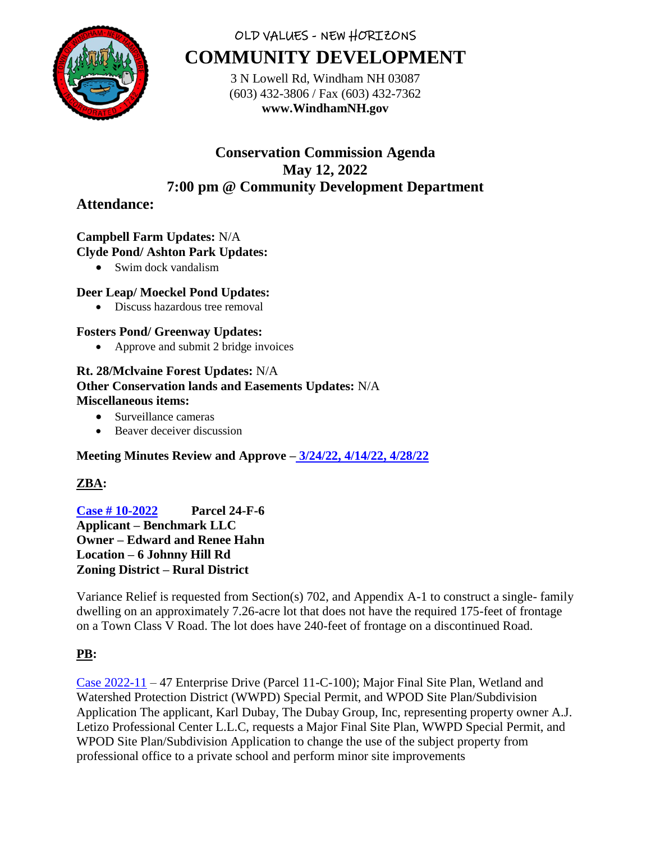

# OLD VALUES - NEW HORIZONS **COMMUNITY DEVELOPMENT**

3 N Lowell Rd, Windham NH 03087 (603) 432-3806 / Fax (603) 432-7362 **www.WindhamNH.gov**

# **Conservation Commission Agenda May 12, 2022 7:00 pm @ Community Development Department**

# **Attendance:**

#### **Campbell Farm Updates:** N/A **Clyde Pond/ Ashton Park Updates:**

• Swim dock vandalism

## **Deer Leap/ Moeckel Pond Updates:**

• Discuss hazardous tree removal

### **Fosters Pond/ Greenway Updates:**

• Approve and submit 2 bridge invoices

## **Rt. 28/Mclvaine Forest Updates:** N/A **Other Conservation lands and Easements Updates:** N/A **Miscellaneous items:**

- Surveillance cameras
- Beaver deceiver discussion

## **Meeting Minutes Review and Approve – [3/24/22, 4/14/22, 4/28/22](https://www.windhamnh.gov/DocumentCenter/Index/825)**

## **ZBA:**

**[Case # 10-2022](https://www.windhamnh.gov/DocumentCenter/Index/947) Parcel 24-F-6 Applicant – Benchmark LLC Owner – Edward and Renee Hahn Location – 6 Johnny Hill Rd Zoning District – Rural District** 

Variance Relief is requested from Section(s) 702, and Appendix A-1 to construct a single- family dwelling on an approximately 7.26-acre lot that does not have the required 175-feet of frontage on a Town Class V Road. The lot does have 240-feet of frontage on a discontinued Road.

## **PB:**

[Case 2022-11](https://www.windhamnh.gov/DocumentCenter/Index/953) – 47 Enterprise Drive (Parcel 11-C-100); Major Final Site Plan, Wetland and Watershed Protection District (WWPD) Special Permit, and WPOD Site Plan/Subdivision Application The applicant, Karl Dubay, The Dubay Group, Inc, representing property owner A.J. Letizo Professional Center L.L.C, requests a Major Final Site Plan, WWPD Special Permit, and WPOD Site Plan/Subdivision Application to change the use of the subject property from professional office to a private school and perform minor site improvements